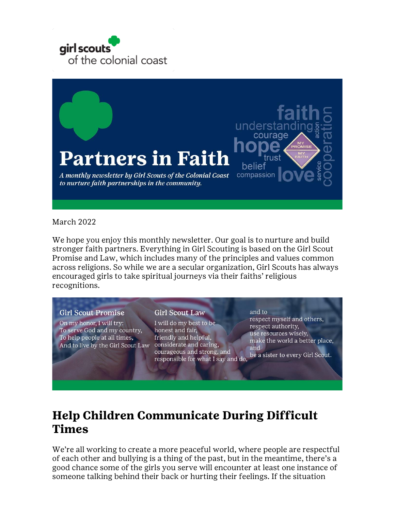



#### March 2022

We hope you enjoy this monthly newsletter. Our goal is to nurture and build stronger faith partners. Everything in Girl Scouting is based on the Girl Scout Promise and Law, which includes many of the principles and values common across religions. So while we are a secular organization, Girl Scouts has always encouraged girls to take spiritual journeys via their faiths' religious recognitions.

#### **Girl Scout Promise**

On my honor, I will try: To serve God and my country, To help people at all times, And to live by the Girl Scout Law considerate and caring,

#### **Girl Scout Law**

I will do my best to be honest and fair, friendly and helpful, courageous and strong, and responsible for what I say and do,

and to respect myself and others, respect authority, use resources wisely, make the world a better place, and be a sister to every Girl Scout.

# **Help Children Communicate During Difficult Times**

We're all working to create a more peaceful world, where people are respectful of each other and bullying is a thing of the past, but in the meantime, there's a good chance some of the girls you serve will encounter at least one instance of someone talking behind their back or hurting their feelings. If the situation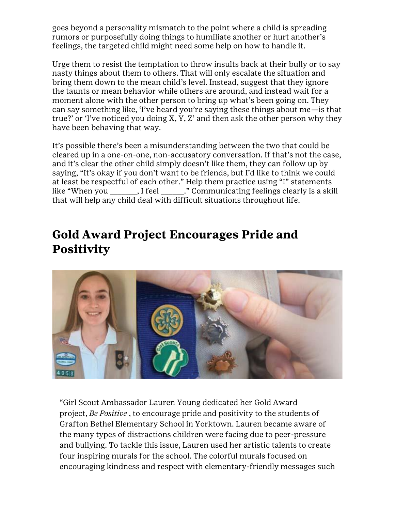goes beyond a personality mismatch to the point where a child is spreading rumors or purposefully doing things to humiliate another or hurt another's feelings, the targeted child might need some help on how to handle it.

Urge them to resist the temptation to throw insults back at their bully or to say nasty things about them to others. That will only escalate the situation and bring them down to the mean child's level. Instead, suggest that they ignore the taunts or mean behavior while others are around, and instead wait for a moment alone with the other person to bring up what's been going on. They can say something like, 'I've heard you're saying these things about me—is that true?' or 'I've noticed you doing X, Y, Z' and then ask the other person why they have been behaving that way.

It's possible there's been a misunderstanding between the two that could be cleared up in a one-on-one, non-accusatory conversation. If that's not the case, and it's clear the other child simply doesn't like them, they can follow up by saying, "It's okay if you don't want to be friends, but I'd like to think we could at least be respectful of each other." Help them practice using "I" statements like "When you \_\_\_\_\_\_\_, I feel \_\_\_\_\_\_." Communicating feelings clearly is a skill that will help any child deal with difficult situations throughout life.

# **Gold Award Project Encourages Pride and Positivity**



"Girl Scout Ambassador Lauren Young dedicated her Gold Award project, *Be Positive* , to encourage pride and positivity to the students of Grafton Bethel Elementary School in Yorktown. Lauren became aware of the many types of distractions children were facing due to peer-pressure and bullying. To tackle this issue, Lauren used her artistic talents to create four inspiring murals for the school. The colorful murals focused on encouraging kindness and respect with elementary-friendly messages such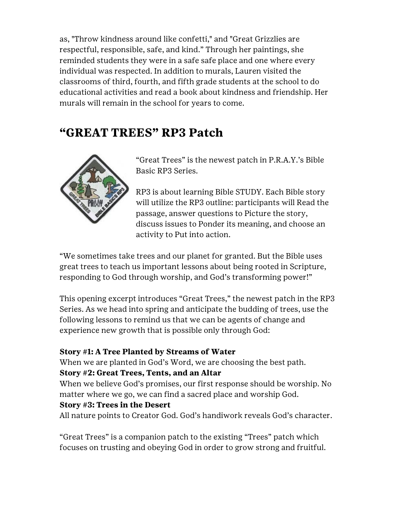as, "Throw kindness around like confetti," and "Great Grizzlies are respectful, responsible, safe, and kind." Through her paintings, she reminded students they were in a safe safe place and one where every individual was respected. In addition to murals, Lauren visited the classrooms of third, fourth, and fifth grade students at the school to do educational activities and read a book about kindness and friendship. Her murals will remain in the school for years to come.

# **"GREAT TREES" RP3 Patch**



"Great Trees" is the newest patch in P.R.A.Y.'s Bible Basic RP3 Series.

RP3 is about learning Bible STUDY. Each Bible story will utilize the RP3 outline: participants will Read the passage, answer questions to Picture the story, discuss issues to Ponder its meaning, and choose an activity to Put into action.

"We sometimes take trees and our planet for granted. But the Bible uses great trees to teach us important lessons about being rooted in Scripture, responding to God through worship, and God's transforming power!"

This opening excerpt introduces "Great Trees," the newest patch in the RP3 Series. As we head into spring and anticipate the budding of trees, use the following lessons to remind us that we can be agents of change and experience new growth that is possible only through God:

#### **Story #1: A Tree Planted by Streams of Water**

When we are planted in God's Word, we are choosing the best path.

#### **Story #2: Great Trees, Tents, and an Altar**

When we believe God's promises, our first response should be worship. No matter where we go, we can find a sacred place and worship God.

#### **Story #3: Trees in the Desert**

All nature points to Creator God. God's handiwork reveals God's character.

"Great Trees" is a companion patch to the existing "Trees" patch which focuses on trusting and obeying God in order to grow strong and fruitful.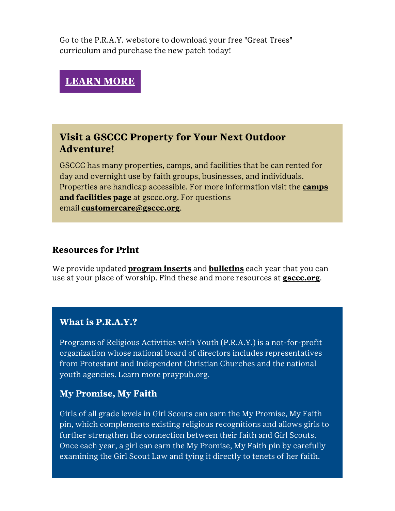Go to the P.R.A.Y. webstore to download your free "Great Trees" curriculum and purchase the new patch today!

## **[LEARN](http://click.email.girlscouts.org/?qs=16fdcb308219d2c2dd53d86d44e0e518aff25f973703f859f59c171da2a74936545c2e8b1a0fec79b6a988dbc835ae35) MORE**

## **Visit a GSCCC Property for Your Next Outdoor Adventure!**

GSCCC has many properties, camps, and facilities that be can rented for day and overnight use by faith groups, businesses, and individuals. Properties are handicap accessible. For more information visit the **[camps](http://click.email.girlscouts.org/?qs=16fdcb308219d2c20cc5c6a31072f64227413c176e20d290e07ee5a9afb38498330b0077af29044574908f4ad4580865)  [and facilities page](http://click.email.girlscouts.org/?qs=16fdcb308219d2c20cc5c6a31072f64227413c176e20d290e07ee5a9afb38498330b0077af29044574908f4ad4580865)** at gsccc.org. For questions email **[customercare@gsccc.org](mailto:customercare@gsccc.org?subject=GSCCC%20Properties)**.

#### **Resources for Print**

We provide updated **[program inserts](http://click.email.girlscouts.org/?qs=16fdcb308219d2c2664f4f7680509035a7dadd2c18fc958228afd48926bd39f6e97946454ade7fdf24f8a4f841135ac8)** and **[bulletins](http://click.email.girlscouts.org/?qs=f46690b625cd98d6b6583e0c05c9bfbde345c2ec340ea1a7b43646fd762e2f595fff24041337ae661da55af8e3ffaadf)** each year that you can use at your place of worship. Find these and more resources at **[gsccc.org](http://click.email.girlscouts.org/?qs=16fdcb308219d2c29e293e24ad9ae501a750a2f06ddf4a7f7bb5cad83b9526d3f07ea63cdfcc38e0b43e92b5f462f11c)**.

#### **What is P.R.A.Y.?**

Programs of Religious Activities with Youth (P.R.A.Y.) is a not-for-profit organization whose national board of directors includes representatives from Protestant and Independent Christian Churches and the national youth agencies. Learn more [praypub.org.](http://click.email.girlscouts.org/?qs=f46690b625cd98d6f130eabf95cca2993f47f08f0464ddc0d7167ce0757fe9460316ca31ec0417b580c26de7946611ae)

### **My Promise, My Faith**

Girls of all grade levels in Girl Scouts can earn the My Promise, My Faith pin, which complements existing religious recognitions and allows girls to further strengthen the connection between their faith and Girl Scouts. Once each year, a girl can earn the My Promise, My Faith pin by carefully examining the Girl Scout Law and tying it directly to tenets of her faith.